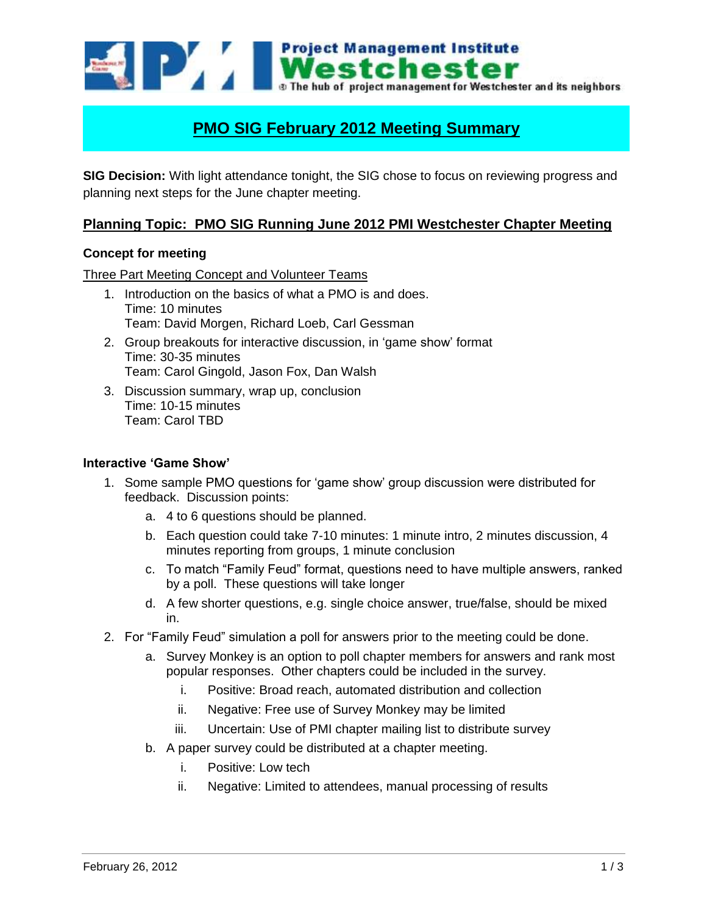

# **PMO SIG February 2012 Meeting Summary**

**SIG Decision:** With light attendance tonight, the SIG chose to focus on reviewing progress and planning next steps for the June chapter meeting.

# **Planning Topic: PMO SIG Running June 2012 PMI Westchester Chapter Meeting**

### **Concept for meeting**

#### Three Part Meeting Concept and Volunteer Teams

- 1. Introduction on the basics of what a PMO is and does. Time: 10 minutes Team: David Morgen, Richard Loeb, Carl Gessman
- 2. Group breakouts for interactive discussion, in 'game show' format Time: 30-35 minutes Team: Carol Gingold, Jason Fox, Dan Walsh
- 3. Discussion summary, wrap up, conclusion Time: 10-15 minutes Team: Carol TBD

#### **Interactive 'Game Show'**

- 1. Some sample PMO questions for 'game show' group discussion were distributed for feedback. Discussion points:
	- a. 4 to 6 questions should be planned.
	- b. Each question could take 7-10 minutes: 1 minute intro, 2 minutes discussion, 4 minutes reporting from groups, 1 minute conclusion
	- c. To match "Family Feud" format, questions need to have multiple answers, ranked by a poll. These questions will take longer
	- d. A few shorter questions, e.g. single choice answer, true/false, should be mixed in.
- 2. For "Family Feud" simulation a poll for answers prior to the meeting could be done.
	- a. Survey Monkey is an option to poll chapter members for answers and rank most popular responses. Other chapters could be included in the survey.
		- i. Positive: Broad reach, automated distribution and collection
		- ii. Negative: Free use of Survey Monkey may be limited
		- iii. Uncertain: Use of PMI chapter mailing list to distribute survey
	- b. A paper survey could be distributed at a chapter meeting.
		- i. Positive: Low tech
		- ii. Negative: Limited to attendees, manual processing of results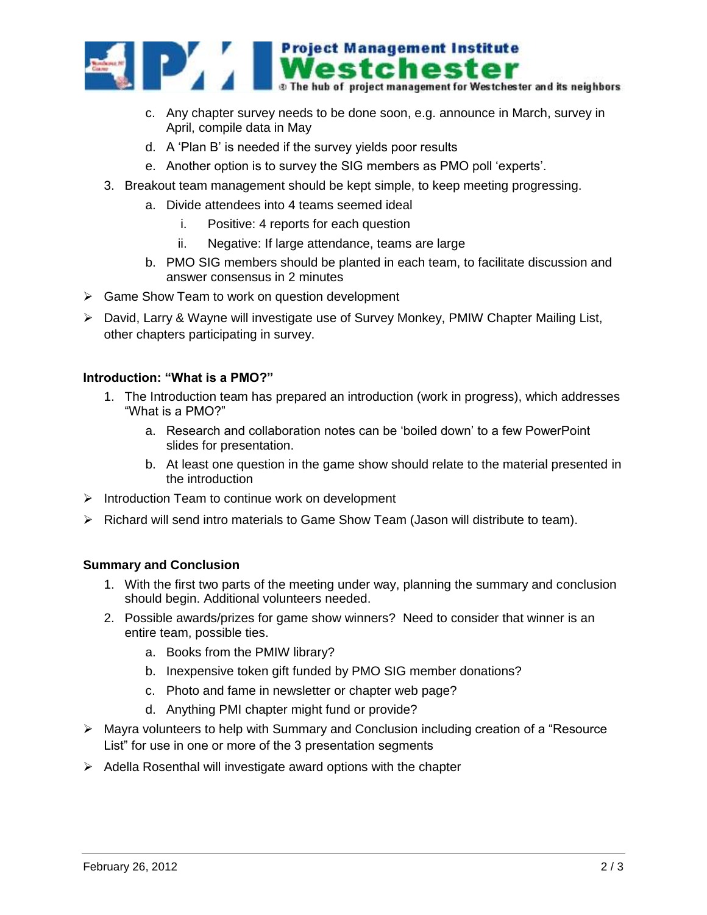

- c. Any chapter survey needs to be done soon, e.g. announce in March, survey in April, compile data in May
- d. A 'Plan B' is needed if the survey yields poor results
- e. Another option is to survey the SIG members as PMO poll 'experts'.
- 3. Breakout team management should be kept simple, to keep meeting progressing.
	- a. Divide attendees into 4 teams seemed ideal
		- i. Positive: 4 reports for each question
		- ii. Negative: If large attendance, teams are large
	- b. PMO SIG members should be planted in each team, to facilitate discussion and answer consensus in 2 minutes
- $\triangleright$  Game Show Team to work on question development
- David, Larry & Wayne will investigate use of Survey Monkey, PMIW Chapter Mailing List, other chapters participating in survey.

## **Introduction: "What is a PMO?"**

- 1. The Introduction team has prepared an introduction (work in progress), which addresses "What is a PMO?"
	- a. Research and collaboration notes can be 'boiled down' to a few PowerPoint slides for presentation.
	- b. At least one question in the game show should relate to the material presented in the introduction
- $\triangleright$  Introduction Team to continue work on development
- $\triangleright$  Richard will send intro materials to Game Show Team (Jason will distribute to team).

## **Summary and Conclusion**

- 1. With the first two parts of the meeting under way, planning the summary and conclusion should begin. Additional volunteers needed.
- 2. Possible awards/prizes for game show winners? Need to consider that winner is an entire team, possible ties.
	- a. Books from the PMIW library?
	- b. Inexpensive token gift funded by PMO SIG member donations?
	- c. Photo and fame in newsletter or chapter web page?
	- d. Anything PMI chapter might fund or provide?
- $\triangleright$  Mayra volunteers to help with Summary and Conclusion including creation of a "Resource" List" for use in one or more of the 3 presentation segments
- $\triangleright$  Adella Rosenthal will investigate award options with the chapter